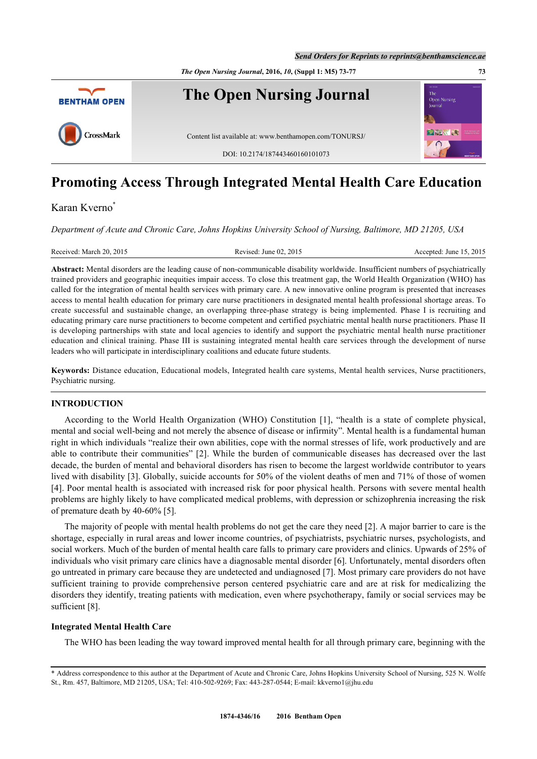*The Open Nursing Journal***, 2016,** *10***, (Suppl 1: M5) 73-77 73**



# **Promoting Access Through Integrated Mental Health Care Education**

# Karan Kverno[\\*](#page-0-0)

*Department of Acute and Chronic Care, Johns Hopkins University School of Nursing, Baltimore, MD 21205, USA*

| 2015<br>Received: March 20, 2015<br>.2015<br>Revised: June 02.<br>15<br>Accepted:<br>June |
|-------------------------------------------------------------------------------------------|
|-------------------------------------------------------------------------------------------|

**Abstract:** Mental disorders are the leading cause of non-communicable disability worldwide. Insufficient numbers of psychiatrically trained providers and geographic inequities impair access. To close this treatment gap, the World Health Organization (WHO) has called for the integration of mental health services with primary care. A new innovative online program is presented that increases access to mental health education for primary care nurse practitioners in designated mental health professional shortage areas. To create successful and sustainable change, an overlapping three-phase strategy is being implemented. Phase I is recruiting and educating primary care nurse practitioners to become competent and certified psychiatric mental health nurse practitioners. Phase II is developing partnerships with state and local agencies to identify and support the psychiatric mental health nurse practitioner education and clinical training. Phase III is sustaining integrated mental health care services through the development of nurse leaders who will participate in interdisciplinary coalitions and educate future students.

**Keywords:** Distance education, Educational models, Integrated health care systems, Mental health services, Nurse practitioners, Psychiatric nursing.

## **INTRODUCTION**

According to the World Health Organization (WHO) Constitution[[1](#page-3-0)], "health is a state of complete physical, mental and social well-being and not merely the absence of disease or infirmity". Mental health is a fundamental human right in which individuals "realize their own abilities, cope with the normal stresses of life, work productively and are able to contribute their communities" [[2](#page-3-1)]. While the burden of communicable diseases has decreased over the last decade, the burden of mental and behavioral disorders has risen to become the largest worldwide contributor to years lived with disability [[3\]](#page-3-2). Globally, suicide accounts for 50% of the violent deaths of men and 71% of those of women [\[4](#page-3-3)]. Poor mental health is associated with increased risk for poor physical health. Persons with severe mental health problems are highly likely to have complicated medical problems, with depression or schizophrenia increasing the risk of premature death by 40-60% [[5\]](#page-3-4).

The majority of people with mental health problems do not get the care they need [[2\]](#page-3-1). A major barrier to care is the shortage, especially in rural areas and lower income countries, of psychiatrists, psychiatric nurses, psychologists, and social workers. Much of the burden of mental health care falls to primary care providers and clinics. Upwards of 25% of individuals who visit primary care clinics have a diagnosable mental disorder [[6\]](#page-3-5). Unfortunately, mental disorders often go untreated in primary care because they are undetected and undiagnosed [\[7](#page-3-6)]. Most primary care providers do not have sufficient training to provide comprehensive person centered psychiatric care and are at risk for medicalizing the disorders they identify, treating patients with medication, even where psychotherapy, family or social services may be sufficient [\[8](#page-3-7)].

#### **Integrated Mental Health Care**

The WHO has been leading the way toward improved mental health for all through primary care, beginning with the

<span id="page-0-0"></span><sup>\*</sup> Address correspondence to this author at the Department of Acute and Chronic Care, Johns Hopkins University School of Nursing, 525 N. Wolfe St., Rm. 457, Baltimore, MD 21205, USA; Tel: 410-502-9269; Fax: 443-287-0544; E-mail: [kkverno1@jhu.edu](mailto:kkverno1@jhu.edu)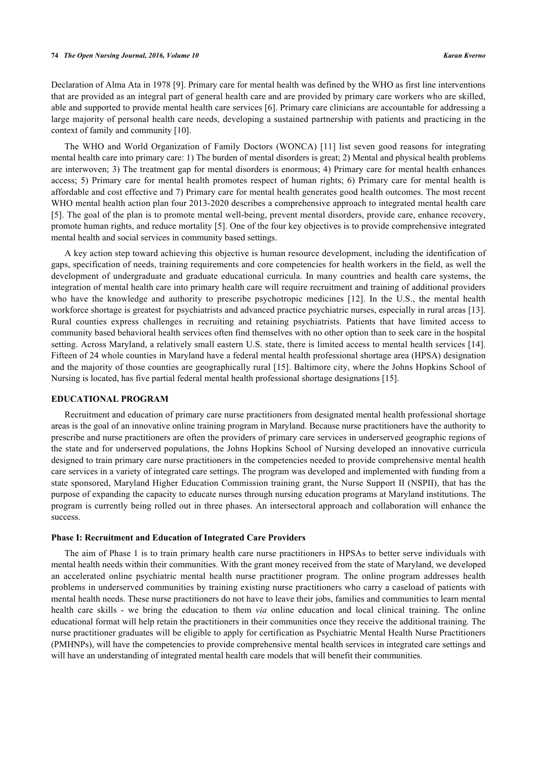Declaration of Alma Ata in 1978 [\[9](#page-3-8)]. Primary care for mental health was defined by the WHO as first line interventions that are provided as an integral part of general health care and are provided by primary care workers who are skilled, able and supported to provide mental health care services [[6\]](#page-3-5). Primary care clinicians are accountable for addressing a large majority of personal health care needs, developing a sustained partnership with patients and practicing in the context of family and community [\[10](#page-3-9)].

The WHO and World Organization of Family Doctors (WONCA) [[11\]](#page-3-10) list seven good reasons for integrating mental health care into primary care: 1) The burden of mental disorders is great; 2) Mental and physical health problems are interwoven; 3) The treatment gap for mental disorders is enormous; 4) Primary care for mental health enhances access; 5) Primary care for mental health promotes respect of human rights; 6) Primary care for mental health is affordable and cost effective and 7) Primary care for mental health generates good health outcomes. The most recent WHO mental health action plan four 2013-2020 describes a comprehensive approach to integrated mental health care [\[5](#page-3-4)]. The goal of the plan is to promote mental well-being, prevent mental disorders, provide care, enhance recovery, promote human rights, and reduce mortality [\[5](#page-3-4)]. One of the four key objectives is to provide comprehensive integrated mental health and social services in community based settings.

A key action step toward achieving this objective is human resource development, including the identification of gaps, specification of needs, training requirements and core competencies for health workers in the field, as well the development of undergraduate and graduate educational curricula. In many countries and health care systems, the integration of mental health care into primary health care will require recruitment and training of additional providers who have the knowledge and authority to prescribe psychotropic medicines [\[12](#page-3-11)]. In the U.S., the mental health workforce shortage is greatest for psychiatrists and advanced practice psychiatric nurses, especially in rural areas [[13\]](#page-3-12). Rural counties express challenges in recruiting and retaining psychiatrists. Patients that have limited access to community based behavioral health services often find themselves with no other option than to seek care in the hospital setting. Across Maryland, a relatively small eastern U.S. state, there is limited access to mental health services [\[14\]](#page-3-13). Fifteen of 24 whole counties in Maryland have a federal mental health professional shortage area (HPSA) designation and the majority of those counties are geographically rural [[15\]](#page-3-14). Baltimore city, where the Johns Hopkins School of Nursing is located, has five partial federal mental health professional shortage designations [[15\]](#page-3-14).

### **EDUCATIONAL PROGRAM**

Recruitment and education of primary care nurse practitioners from designated mental health professional shortage areas is the goal of an innovative online training program in Maryland. Because nurse practitioners have the authority to prescribe and nurse practitioners are often the providers of primary care services in underserved geographic regions of the state and for underserved populations, the Johns Hopkins School of Nursing developed an innovative curricula designed to train primary care nurse practitioners in the competencies needed to provide comprehensive mental health care services in a variety of integrated care settings. The program was developed and implemented with funding from a state sponsored, Maryland Higher Education Commission training grant, the Nurse Support II (NSPII), that has the purpose of expanding the capacity to educate nurses through nursing education programs at Maryland institutions. The program is currently being rolled out in three phases. An intersectoral approach and collaboration will enhance the success.

#### **Phase I: Recruitment and Education of Integrated Care Providers**

The aim of Phase 1 is to train primary health care nurse practitioners in HPSAs to better serve individuals with mental health needs within their communities. With the grant money received from the state of Maryland, we developed an accelerated online psychiatric mental health nurse practitioner program. The online program addresses health problems in underserved communities by training existing nurse practitioners who carry a caseload of patients with mental health needs. These nurse practitioners do not have to leave their jobs, families and communities to learn mental health care skills - we bring the education to them *via* online education and local clinical training. The online educational format will help retain the practitioners in their communities once they receive the additional training. The nurse practitioner graduates will be eligible to apply for certification as Psychiatric Mental Health Nurse Practitioners (PMHNPs), will have the competencies to provide comprehensive mental health services in integrated care settings and will have an understanding of integrated mental health care models that will benefit their communities.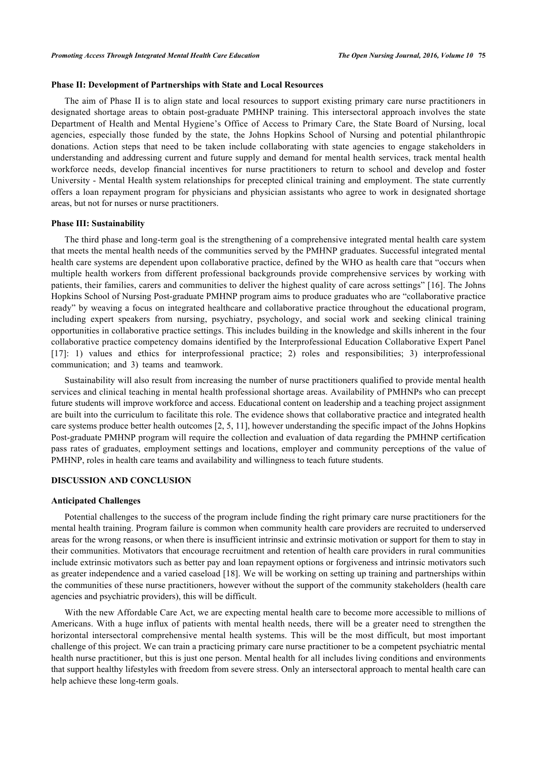#### **Phase II: Development of Partnerships with State and Local Resources**

The aim of Phase II is to align state and local resources to support existing primary care nurse practitioners in designated shortage areas to obtain post-graduate PMHNP training. This intersectoral approach involves the state Department of Health and Mental Hygiene's Office of Access to Primary Care, the State Board of Nursing, local agencies, especially those funded by the state, the Johns Hopkins School of Nursing and potential philanthropic donations. Action steps that need to be taken include collaborating with state agencies to engage stakeholders in understanding and addressing current and future supply and demand for mental health services, track mental health workforce needs, develop financial incentives for nurse practitioners to return to school and develop and foster University - Mental Health system relationships for precepted clinical training and employment. The state currently offers a loan repayment program for physicians and physician assistants who agree to work in designated shortage areas, but not for nurses or nurse practitioners.

#### **Phase III: Sustainability**

The third phase and long-term goal is the strengthening of a comprehensive integrated mental health care system that meets the mental health needs of the communities served by the PMHNP graduates. Successful integrated mental health care systems are dependent upon collaborative practice, defined by the WHO as health care that "occurs when multiple health workers from different professional backgrounds provide comprehensive services by working with patients, their families, carers and communities to deliver the highest quality of care across settings" [[16\]](#page-4-0). The Johns Hopkins School of Nursing Post-graduate PMHNP program aims to produce graduates who are "collaborative practice ready" by weaving a focus on integrated healthcare and collaborative practice throughout the educational program, including expert speakers from nursing, psychiatry, psychology, and social work and seeking clinical training opportunities in collaborative practice settings. This includes building in the knowledge and skills inherent in the four collaborative practice competency domains identified by the Interprofessional Education Collaborative Expert Panel [\[17](#page-4-1)]: 1) values and ethics for interprofessional practice; 2) roles and responsibilities; 3) interprofessional communication; and 3) teams and teamwork.

Sustainability will also result from increasing the number of nurse practitioners qualified to provide mental health services and clinical teaching in mental health professional shortage areas. Availability of PMHNPs who can precept future students will improve workforce and access. Educational content on leadership and a teaching project assignment are built into the curriculum to facilitate this role. The evidence shows that collaborative practice and integrated health care systems produce better health outcomes [\[2](#page-3-1), [5](#page-3-4), [11](#page-3-10)], however understanding the specific impact of the Johns Hopkins Post-graduate PMHNP program will require the collection and evaluation of data regarding the PMHNP certification pass rates of graduates, employment settings and locations, employer and community perceptions of the value of PMHNP, roles in health care teams and availability and willingness to teach future students.

#### **DISCUSSION AND CONCLUSION**

#### **Anticipated Challenges**

Potential challenges to the success of the program include finding the right primary care nurse practitioners for the mental health training. Program failure is common when community health care providers are recruited to underserved areas for the wrong reasons, or when there is insufficient intrinsic and extrinsic motivation or support for them to stay in their communities. Motivators that encourage recruitment and retention of health care providers in rural communities include extrinsic motivators such as better pay and loan repayment options or forgiveness and intrinsic motivators such as greater independence and a varied caseload [[18\]](#page-4-2). We will be working on setting up training and partnerships within the communities of these nurse practitioners, however without the support of the community stakeholders (health care agencies and psychiatric providers), this will be difficult.

With the new Affordable Care Act, we are expecting mental health care to become more accessible to millions of Americans. With a huge influx of patients with mental health needs, there will be a greater need to strengthen the horizontal intersectoral comprehensive mental health systems. This will be the most difficult, but most important challenge of this project. We can train a practicing primary care nurse practitioner to be a competent psychiatric mental health nurse practitioner, but this is just one person. Mental health for all includes living conditions and environments that support healthy lifestyles with freedom from severe stress. Only an intersectoral approach to mental health care can help achieve these long-term goals.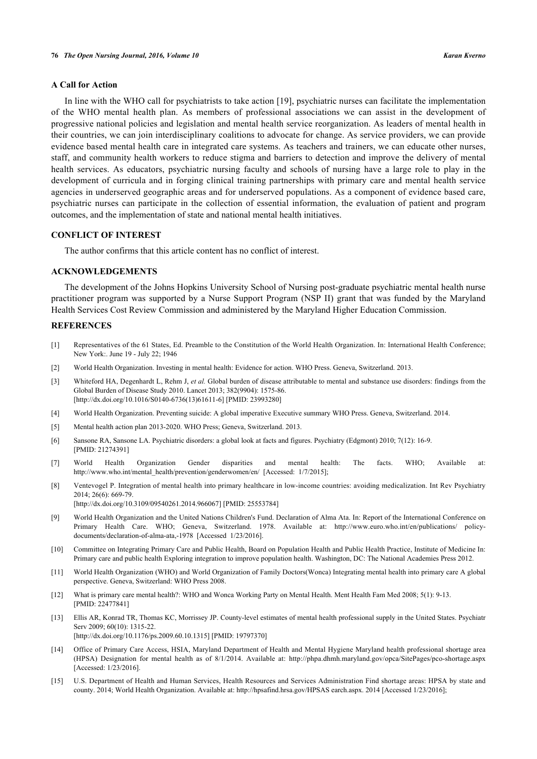#### **A Call for Action**

In line with the WHO call for psychiatrists to take action [\[19](#page-4-3)], psychiatric nurses can facilitate the implementation of the WHO mental health plan. As members of professional associations we can assist in the development of progressive national policies and legislation and mental health service reorganization. As leaders of mental health in their countries, we can join interdisciplinary coalitions to advocate for change. As service providers, we can provide evidence based mental health care in integrated care systems. As teachers and trainers, we can educate other nurses, staff, and community health workers to reduce stigma and barriers to detection and improve the delivery of mental health services. As educators, psychiatric nursing faculty and schools of nursing have a large role to play in the development of curricula and in forging clinical training partnerships with primary care and mental health service agencies in underserved geographic areas and for underserved populations. As a component of evidence based care, psychiatric nurses can participate in the collection of essential information, the evaluation of patient and program outcomes, and the implementation of state and national mental health initiatives.

## **CONFLICT OF INTEREST**

The author confirms that this article content has no conflict of interest.

## **ACKNOWLEDGEMENTS**

The development of the Johns Hopkins University School of Nursing post-graduate psychiatric mental health nurse practitioner program was supported by a Nurse Support Program (NSP II) grant that was funded by the Maryland Health Services Cost Review Commission and administered by the Maryland Higher Education Commission.

#### **REFERENCES**

- <span id="page-3-0"></span>[1] Representatives of the 61 States, Ed. Preamble to the Constitution of the World Health Organization. In: International Health Conference; New York:. June 19 - July 22; 1946
- <span id="page-3-1"></span>[2] World Health Organization. Investing in mental health: Evidence for action. WHO Press. Geneva, Switzerland. 2013.
- <span id="page-3-2"></span>[3] Whiteford HA, Degenhardt L, Rehm J, *et al.* Global burden of disease attributable to mental and substance use disorders: findings from the Global Burden of Disease Study 2010. Lancet 2013; 382(9904): 1575-86. [\[http://dx.doi.org/10.1016/S0140-6736\(13\)61611-6\]](http://dx.doi.org/10.1016/S0140-6736(13)61611-6) [PMID: [23993280](http://www.ncbi.nlm.nih.gov/pubmed/23993280)]
- <span id="page-3-3"></span>[4] World Health Organization. Preventing suicide: A global imperative Executive summary WHO Press. Geneva, Switzerland. 2014.
- <span id="page-3-4"></span>[5] Mental health action plan 2013-2020. WHO Press; Geneva, Switzerland. 2013.
- <span id="page-3-5"></span>[6] Sansone RA, Sansone LA. Psychiatric disorders: a global look at facts and figures. Psychiatry (Edgmont) 2010; 7(12): 16-9. [PMID: [21274391\]](http://www.ncbi.nlm.nih.gov/pubmed/21274391)
- <span id="page-3-6"></span>[7] World Health Organization Gender disparities and mental health: The facts. WHO; Available at: [http://www.who.int/mental\\_health/prevention/genderwomen/en/](http://www.who.int/mental_health/prevention/genderwomen/en/) [Accessed: 1/7/2015];
- <span id="page-3-7"></span>[8] Ventevogel P. Integration of mental health into primary healthcare in low-income countries: avoiding medicalization. Int Rev Psychiatry 2014; 26(6): 669-79. [\[http://dx.doi.org/10.3109/09540261.2014.966067\]](http://dx.doi.org/10.3109/09540261.2014.966067) [PMID: [25553784](http://www.ncbi.nlm.nih.gov/pubmed/25553784)]
- <span id="page-3-8"></span>[9] World Health Organization and the United Nations Children's Fund. Declaration of Alma Ata. In: Report of the International Conference on Primary Health Care. WHO; Geneva, Switzerland. 1978. Available at: [http://www.euro.who.int/en/publications/ policy](http://www.euro.who.int/en/publications/policy-documents/declaration-of-alma-ata,-1978)[documents/declaration-of-alma-ata,-1978](http://www.euro.who.int/en/publications/policy-documents/declaration-of-alma-ata,-1978) [Accessed 1/23/2016].
- <span id="page-3-9"></span>[10] Committee on Integrating Primary Care and Public Health, Board on Population Health and Public Health Practice, Institute of Medicine In: Primary care and public health Exploring integration to improve population health. Washington, DC: The National Academies Press 2012.
- <span id="page-3-10"></span>[11] World Health Organization (WHO) and World Organization of Family Doctors(Wonca) Integrating mental health into primary care A global perspective. Geneva, Switzerland: WHO Press 2008.
- <span id="page-3-11"></span>[12] What is primary care mental health?: WHO and Wonca Working Party on Mental Health. Ment Health Fam Med 2008; 5(1): 9-13. [PMID: [22477841\]](http://www.ncbi.nlm.nih.gov/pubmed/22477841)
- <span id="page-3-12"></span>[13] Ellis AR, Konrad TR, Thomas KC, Morrissey JP. County-level estimates of mental health professional supply in the United States. Psychiatr Serv 2009; 60(10): 1315-22.
- [\[http://dx.doi.org/10.1176/ps.2009.60.10.1315\]](http://dx.doi.org/10.1176/ps.2009.60.10.1315) [PMID: [19797370](http://www.ncbi.nlm.nih.gov/pubmed/19797370)]
- <span id="page-3-13"></span>[14] Office of Primary Care Access, HSIA, Maryland Department of Health and Mental Hygiene Maryland health professional shortage area (HPSA) Designation for mental health as of 8/1/2014. Available at:<http://phpa.dhmh.maryland.gov/opca/SitePages/pco-shortage.aspx> [Accessed: 1/23/2016].
- <span id="page-3-14"></span>[15] U.S. Department of Health and Human Services, Health Resources and Services Administration Find shortage areas: HPSA by state and county. 2014; World Health Organization. Available at: [http://hpsafind.hrsa.gov/HPSAS earch.aspx](http://hpsafind.hrsa.gov/HPSAS%20earch.aspx). 2014 [Accessed 1/23/2016];